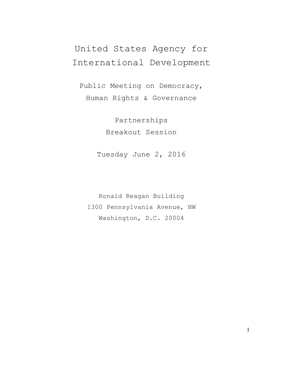## United States Agency for International Development

Public Meeting on Democracy, Human Rights & Governance

> Partnerships Breakout Session

Tuesday June 2, 2016

Ronald Reagan Building 1300 Pennsylvania Avenue, NW Washington, D.C. 20004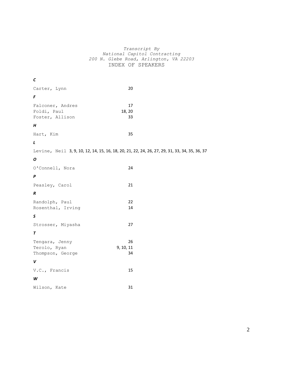## *Transcript By National Capitol Contracting 200 N. Glebe Road, Arlington, VA 22203* INDEX OF SPEAKERS

| С                                                  |                                                                                               |  |
|----------------------------------------------------|-----------------------------------------------------------------------------------------------|--|
| Carter, Lynn                                       | $20\,$                                                                                        |  |
| $\pmb{\digamma}$                                   |                                                                                               |  |
| Falconer, Andres<br>Foldi, Paul<br>Foster, Allison | 17<br>18, 20<br>33                                                                            |  |
| H                                                  |                                                                                               |  |
| Hart, Kim                                          | 35                                                                                            |  |
| $\mathbf{L}$                                       |                                                                                               |  |
|                                                    | Levine, Neil 3, 9, 10, 12, 14, 15, 16, 18, 20, 21, 22, 24, 26, 27, 29, 31, 33, 34, 35, 36, 37 |  |
| O                                                  |                                                                                               |  |
| O'Connell, Nora                                    | 24                                                                                            |  |
| P                                                  |                                                                                               |  |
| Peasley, Carol                                     | 21                                                                                            |  |
| $\boldsymbol{R}$                                   |                                                                                               |  |
| Randolph, Paul<br>Rosenthal, Irving                | 22<br>14                                                                                      |  |
| S                                                  |                                                                                               |  |
| Strosser, Miyasha                                  | 27                                                                                            |  |
| T                                                  |                                                                                               |  |
| Tengara, Jenny<br>Terolo, Ryan<br>Thompson, George | 26<br>9, 10, 11<br>34                                                                         |  |
| V                                                  |                                                                                               |  |
| V.C., Francis                                      | 15                                                                                            |  |
| W                                                  |                                                                                               |  |
| Wilson, Kate                                       | 31                                                                                            |  |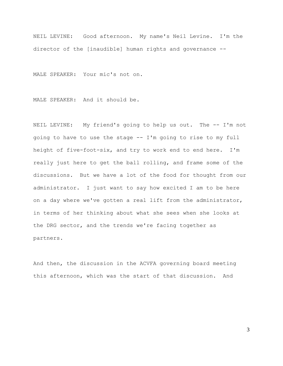NEIL LEVINE: Good afternoon. My name's Neil Levine. I'm the director of the [inaudible] human rights and governance --

MALE SPEAKER: Your mic's not on.

MALE SPEAKER: And it should be.

NEIL LEVINE: My friend's going to help us out. The -- I'm not going to have to use the stage -- I'm going to rise to my full height of five-foot-six, and try to work end to end here. I'm really just here to get the ball rolling, and frame some of the discussions. But we have a lot of the food for thought from our administrator. I just want to say how excited I am to be here on a day where we've gotten a real lift from the administrator, in terms of her thinking about what she sees when she looks at the DRG sector, and the trends we're facing together as partners.

And then, the discussion in the ACVFA governing board meeting this afternoon, which was the start of that discussion. And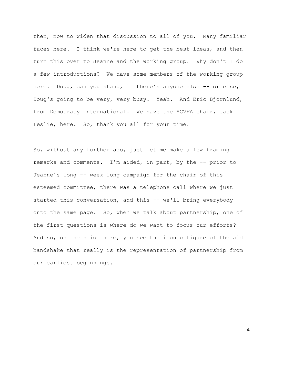then, now to widen that discussion to all of you. Many familiar faces here. I think we're here to get the best ideas, and then turn this over to Jeanne and the working group. Why don't I do a few introductions? We have some members of the working group here. Doug, can you stand, if there's anyone else -- or else, Doug's going to be very, very busy. Yeah. And Eric Bjornlund, from Democracy International. We have the ACVFA chair, Jack Leslie, here. So, thank you all for your time.

So, without any further ado, just let me make a few framing remarks and comments. I'm aided, in part, by the -- prior to Jeanne's long -- week long campaign for the chair of this esteemed committee, there was a telephone call where we just started this conversation, and this -- we'll bring everybody onto the same page. So, when we talk about partnership, one of the first questions is where do we want to focus our efforts? And so, on the slide here, you see the iconic figure of the aid handshake that really is the representation of partnership from our earliest beginnings.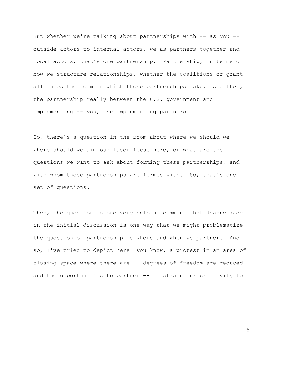But whether we're talking about partnerships with -- as you -outside actors to internal actors, we as partners together and local actors, that's one partnership. Partnership, in terms of how we structure relationships, whether the coalitions or grant alliances the form in which those partnerships take. And then, the partnership really between the U.S. government and implementing -- you, the implementing partners.

So, there's a question in the room about where we should we - where should we aim our laser focus here, or what are the questions we want to ask about forming these partnerships, and with whom these partnerships are formed with. So, that's one set of questions.

Then, the question is one very helpful comment that Jeanne made in the initial discussion is one way that we might problematize the question of partnership is where and when we partner. And so, I've tried to depict here, you know, a protest in an area of closing space where there are -- degrees of freedom are reduced, and the opportunities to partner –- to strain our creativity to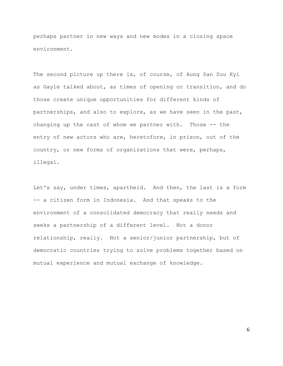perhaps partner in new ways and new modes in a closing space environment.

The second picture up there is, of course, of Aung San Suu Kyi as Gayle talked about, as times of opening or transition, and do those create unique opportunities for different kinds of partnerships, and also to explore, as we have seen in the past, changing up the cast of whom we partner with. Those -- the entry of new actors who are, heretofore, in prison, out of the country, or new forms of organizations that were, perhaps, illegal.

Let's say, under times, apartheid. And then, the last is a form -- a citizen form in Indonesia. And that speaks to the environment of a consolidated democracy that really needs and seeks a partnership of a different level. Not a donor relationship, really. Not a senior/junior partnership, but of democratic countries trying to solve problems together based on mutual experience and mutual exchange of knowledge.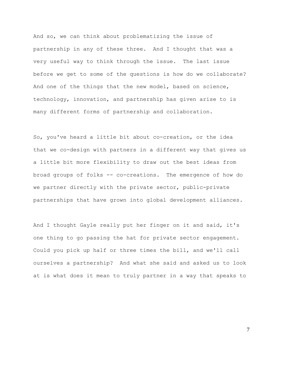And so, we can think about problematizing the issue of partnership in any of these three. And I thought that was a very useful way to think through the issue. The last issue before we get to some of the questions is how do we collaborate? And one of the things that the new model, based on science, technology, innovation, and partnership has given arise to is many different forms of partnership and collaboration.

So, you've heard a little bit about co-creation, or the idea that we co-design with partners in a different way that gives us a little bit more flexibility to draw out the best ideas from broad groups of folks -- co-creations. The emergence of how do we partner directly with the private sector, public-private partnerships that have grown into global development alliances.

And I thought Gayle really put her finger on it and said, it's one thing to go passing the hat for private sector engagement. Could you pick up half or three times the bill, and we'll call ourselves a partnership? And what she said and asked us to look at is what does it mean to truly partner in a way that speaks to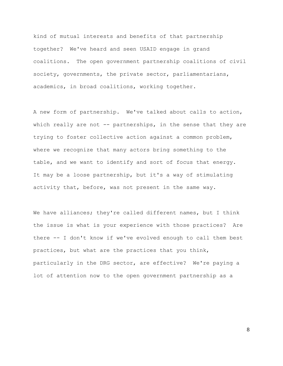kind of mutual interests and benefits of that partnership together? We've heard and seen USAID engage in grand coalitions. The open government partnership coalitions of civil society, governments, the private sector, parliamentarians, academics, in broad coalitions, working together.

A new form of partnership. We've talked about calls to action, which really are not  $-$ - partnerships, in the sense that they are trying to foster collective action against a common problem, where we recognize that many actors bring something to the table, and we want to identify and sort of focus that energy. It may be a loose partnership, but it's a way of stimulating activity that, before, was not present in the same way.

We have alliances; they're called different names, but I think the issue is what is your experience with those practices? Are there -- I don't know if we've evolved enough to call them best practices, but what are the practices that you think, particularly in the DRG sector, are effective? We're paying a lot of attention now to the open government partnership as a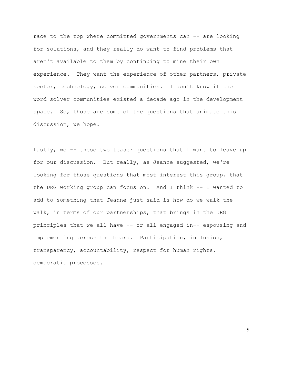race to the top where committed governments can -- are looking for solutions, and they really do want to find problems that aren't available to them by continuing to mine their own experience. They want the experience of other partners, private sector, technology, solver communities. I don't know if the word solver communities existed a decade ago in the development space. So, those are some of the questions that animate this discussion, we hope.

Lastly, we -- these two teaser questions that I want to leave up for our discussion. But really, as Jeanne suggested, we're looking for those questions that most interest this group, that the DRG working group can focus on. And I think -- I wanted to add to something that Jeanne just said is how do we walk the walk, in terms of our partnerships, that brings in the DRG principles that we all have -- or all engaged in-- espousing and implementing across the board. Participation, inclusion, transparency, accountability, respect for human rights, democratic processes.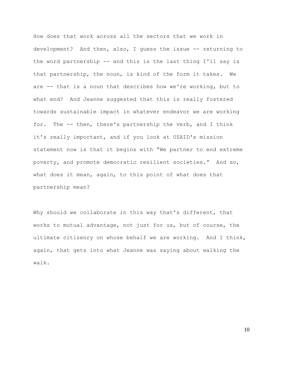How does that work across all the sectors that we work in development? And then, also, I guess the issue -- returning to the word partnership -- and this is the last thing I'll say is that partnership, the noun, is kind of the form it takes. We are -- that is a noun that describes how we're working, but to what end? And Jeanne suggested that this is really fostered towards sustainable impact in whatever endeavor we are working for. The -- then, there's partnership the verb, and I think it's really important, and if you look at USAID's mission statement now is that it begins with "We partner to end extreme poverty, and promote democratic resilient societies." And so, what does it mean, again, to this point of what does that partnership mean?

Why should we collaborate in this way that's different, that works to mutual advantage, not just for us, but of course, the ultimate citizenry on whose behalf we are working. And I think, again, that gets into what Jeanne was saying about walking the walk.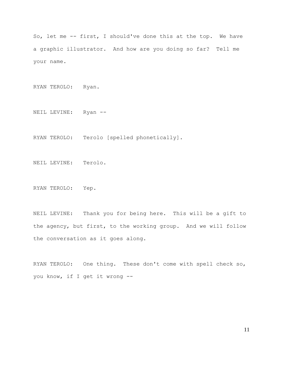So, let me -- first, I should've done this at the top. We have a graphic illustrator. And how are you doing so far? Tell me your name.

RYAN TEROLO: Ryan.

NEIL LEVINE: Ryan --

RYAN TEROLO: Terolo [spelled phonetically].

NEIL LEVINE: Terolo.

RYAN TEROLO: Yep.

NEIL LEVINE: Thank you for being here. This will be a gift to the agency, but first, to the working group. And we will follow the conversation as it goes along.

RYAN TEROLO: One thing. These don't come with spell check so, you know, if I get it wrong --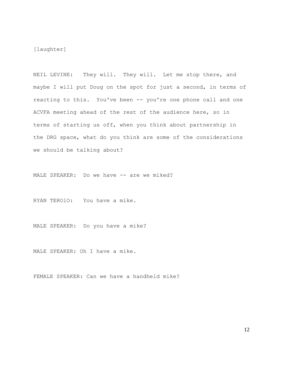[laughter]

NEIL LEVINE: They will. They will. Let me stop there, and maybe I will put Doug on the spot for just a second, in terms of reacting to this. You've been -- you're one phone call and one ACVFA meeting ahead of the rest of the audience here, so in terms of starting us off, when you think about partnership in the DRG space, what do you think are some of the considerations we should be talking about?

MALE SPEAKER: Do we have -- are we miked?

RYAN TEROlO: You have a mike.

MALE SPEAKER: Do you have a mike?

MALE SPEAKER: Oh I have a mike.

FEMALE SPEAKER: Can we have a handheld mike?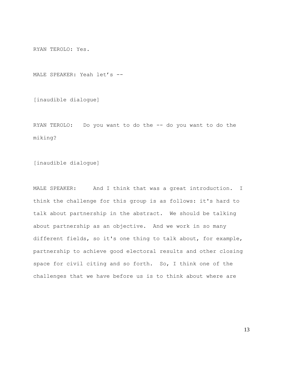RYAN TEROLO: Yes.

MALE SPEAKER: Yeah let's --

[inaudible dialogue]

RYAN TEROLO: Do you want to do the -- do you want to do the miking?

[inaudible dialogue]

MALE SPEAKER: And I think that was a great introduction. I think the challenge for this group is as follows: it's hard to talk about partnership in the abstract. We should be talking about partnership as an objective. And we work in so many different fields, so it's one thing to talk about, for example, partnership to achieve good electoral results and other closing space for civil citing and so forth. So, I think one of the challenges that we have before us is to think about where are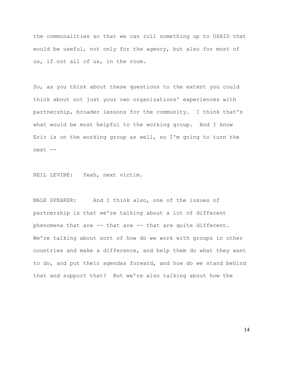the commonalities so that we can roll something up to USAID that would be useful, not only for the agency, but also for most of us, if not all of us, in the room.

So, as you think about these questions to the extent you could think about not just your own organizations' experiences with partnership, broader lessons for the community. I think that's what would be most helpful to the working group. And I know Eric is on the working group as well, so I'm going to turn the next --

NEIL LEVINE: Yeah, next victim.

MALE SPEAKER: And I think also, one of the issues of partnership is that we're talking about a lot of different phenomena that are -- that are -- that are quite different. We're talking about sort of how do we work with groups in other countries and make a difference, and help them do what they want to do, and put their agendas forward, and how do we stand behind that and support that? But we're also talking about how the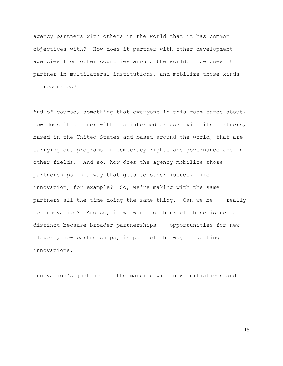agency partners with others in the world that it has common objectives with? How does it partner with other development agencies from other countries around the world? How does it partner in multilateral institutions, and mobilize those kinds of resources?

And of course, something that everyone in this room cares about, how does it partner with its intermediaries? With its partners, based in the United States and based around the world, that are carrying out programs in democracy rights and governance and in other fields. And so, how does the agency mobilize those partnerships in a way that gets to other issues, like innovation, for example? So, we're making with the same partners all the time doing the same thing. Can we be -- really be innovative? And so, if we want to think of these issues as distinct because broader partnerships -- opportunities for new players, new partnerships, is part of the way of getting innovations.

Innovation's just not at the margins with new initiatives and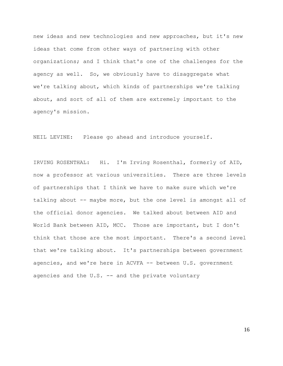new ideas and new technologies and new approaches, but it's new ideas that come from other ways of partnering with other organizations; and I think that's one of the challenges for the agency as well. So, we obviously have to disaggregate what we're talking about, which kinds of partnerships we're talking about, and sort of all of them are extremely important to the agency's mission.

NEIL LEVINE: Please go ahead and introduce yourself.

IRVING ROSENTHAL: Hi. I'm Irving Rosenthal, formerly of AID, now a professor at various universities. There are three levels of partnerships that I think we have to make sure which we're talking about -- maybe more, but the one level is amongst all of the official donor agencies. We talked about between AID and World Bank between AID, MCC. Those are important, but I don't think that those are the most important. There's a second level that we're talking about. It's partnerships between government agencies, and we're here in ACVFA -- between U.S. government agencies and the  $U.S.$  -- and the private voluntary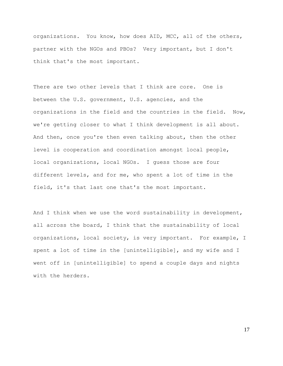organizations. You know, how does AID, MCC, all of the others, partner with the NGOs and PBOs? Very important, but I don't think that's the most important.

There are two other levels that I think are core. One is between the U.S. government, U.S. agencies, and the organizations in the field and the countries in the field. Now, we're getting closer to what I think development is all about. And then, once you're then even talking about, then the other level is cooperation and coordination amongst local people, local organizations, local NGOs. I guess those are four different levels, and for me, who spent a lot of time in the field, it's that last one that's the most important.

And I think when we use the word sustainability in development, all across the board, I think that the sustainability of local organizations, local society, is very important. For example, I spent a lot of time in the [unintelligible], and my wife and I went off in [unintelligible] to spend a couple days and nights with the herders.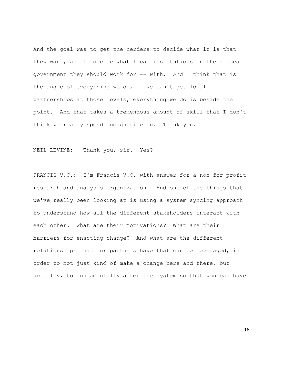And the goal was to get the herders to decide what it is that they want, and to decide what local institutions in their local government they should work for -- with. And I think that is the angle of everything we do, if we can't get local partnerships at those levels, everything we do is beside the point. And that takes a tremendous amount of skill that I don't think we really spend enough time on. Thank you.

NEIL LEVINE: Thank you, sir. Yes?

FRANCIS V.C.: I'm Francis V.C. with answer for a non for profit research and analysis organization. And one of the things that we've really been looking at is using a system syncing approach to understand how all the different stakeholders interact with each other. What are their motivations? What are their barriers for enacting change? And what are the different relationships that our partners have that can be leveraged, in order to not just kind of make a change here and there, but actually, to fundamentally alter the system so that you can have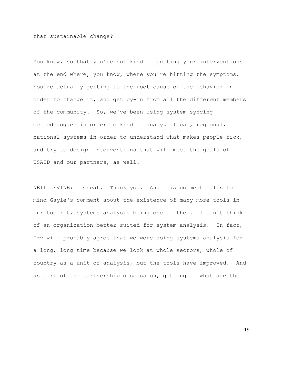that sustainable change?

You know, so that you're not kind of putting your interventions at the end where, you know, where you're hitting the symptoms. You're actually getting to the root cause of the behavior in order to change it, and get by-in from all the different members of the community. So, we've been using system syncing methodologies in order to kind of analyze local, regional, national systems in order to understand what makes people tick, and try to design interventions that will meet the goals of USAID and our partners, as well.

NEIL LEVINE: Great. Thank you. And this comment calls to mind Gayle's comment about the existence of many more tools in our toolkit, systems analysis being one of them. I can't think of an organization better suited for system analysis. In fact, Irv will probably agree that we were doing systems analysis for a long, long time because we look at whole sectors, whole of country as a unit of analysis, but the tools have improved. And as part of the partnership discussion, getting at what are the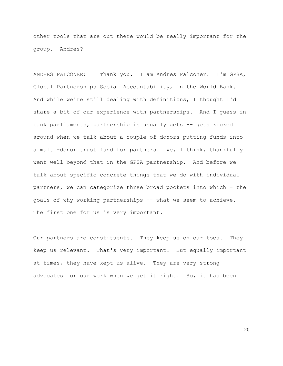other tools that are out there would be really important for the group. Andres?

ANDRES FALCONER: Thank you. I am Andres Falconer. I'm GPSA, Global Partnerships Social Accountability, in the World Bank. And while we're still dealing with definitions, I thought I'd share a bit of our experience with partnerships. And I guess in bank parliaments, partnership is usually gets -- gets kicked around when we talk about a couple of donors putting funds into a multi-donor trust fund for partners. We, I think, thankfully went well beyond that in the GPSA partnership. And before we talk about specific concrete things that we do with individual partners, we can categorize three broad pockets into which – the goals of why working partnerships -- what we seem to achieve. The first one for us is very important.

Our partners are constituents. They keep us on our toes. They keep us relevant. That's very important. But equally important at times, they have kept us alive. They are very strong advocates for our work when we get it right. So, it has been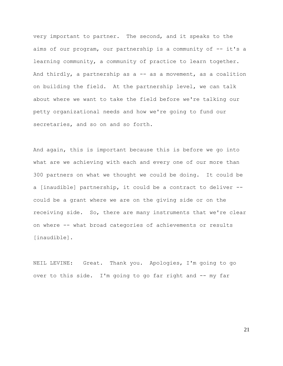very important to partner. The second, and it speaks to the aims of our program, our partnership is a community of -- it's a learning community, a community of practice to learn together. And thirdly, a partnership as  $a$  -- as a movement, as a coalition on building the field. At the partnership level, we can talk about where we want to take the field before we're talking our petty organizational needs and how we're going to fund our secretaries, and so on and so forth.

And again, this is important because this is before we go into what are we achieving with each and every one of our more than 300 partners on what we thought we could be doing. It could be a [inaudible] partnership, it could be a contract to deliver - could be a grant where we are on the giving side or on the receiving side. So, there are many instruments that we're clear on where -- what broad categories of achievements or results [inaudible].

NEIL LEVINE: Great. Thank you. Apologies, I'm going to go over to this side. I'm going to go far right and -- my far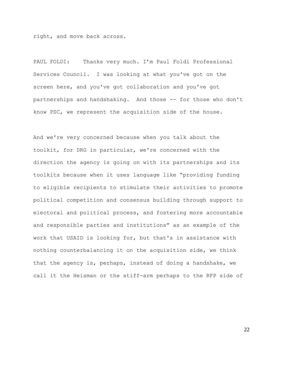right, and move back across.

PAUL FOLDI: Thanks very much. I'm Paul Foldi Professional Services Council. I was looking at what you've got on the screen here, and you've got collaboration and you've got partnerships and handshaking. And those -- for those who don't know PSC, we represent the acquisition side of the house.

And we're very concerned because when you talk about the toolkit, for DRG in particular, we're concerned with the direction the agency is going on with its partnerships and its toolkits because when it uses language like "providing funding to eligible recipients to stimulate their activities to promote political competition and consensus building through support to electoral and political process, and fostering more accountable and responsible parties and institutions" as an example of the work that USAID is looking for, but that's in assistance with nothing counterbalancing it on the acquisition side, we think that the agency is, perhaps, instead of doing a handshake, we call it the Heisman or the stiff-arm perhaps to the RFP side of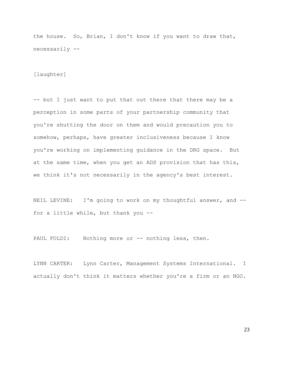the house. So, Brian, I don't know if you want to draw that, necessarily --

[laughter]

-- but I just want to put that out there that there may be a perception in some parts of your partnership community that you're shutting the door on them and would precaution you to somehow, perhaps, have greater inclusiveness because I know you're working on implementing guidance in the DRG space. But at the same time, when you get an ADS provision that has this, we think it's not necessarily in the agency's best interest.

NEIL LEVINE: I'm going to work on my thoughtful answer, and -for a little while, but thank you --

PAUL FOLDI: Nothing more or -- nothing less, then.

LYNN CARTER: Lynn Carter, Management Systems International. I actually don't think it matters whether you're a firm or an NGO.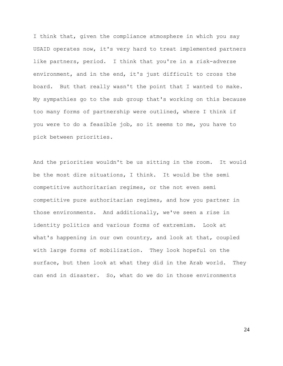I think that, given the compliance atmosphere in which you say USAID operates now, it's very hard to treat implemented partners like partners, period. I think that you're in a risk-adverse environment, and in the end, it's just difficult to cross the board. But that really wasn't the point that I wanted to make. My sympathies go to the sub group that's working on this because too many forms of partnership were outlined, where I think if you were to do a feasible job, so it seems to me, you have to pick between priorities.

And the priorities wouldn't be us sitting in the room. It would be the most dire situations, I think. It would be the semi competitive authoritarian regimes, or the not even semi competitive pure authoritarian regimes, and how you partner in those environments. And additionally, we've seen a rise in identity politics and various forms of extremism. Look at what's happening in our own country, and look at that, coupled with large forms of mobilization. They look hopeful on the surface, but then look at what they did in the Arab world. They can end in disaster. So, what do we do in those environments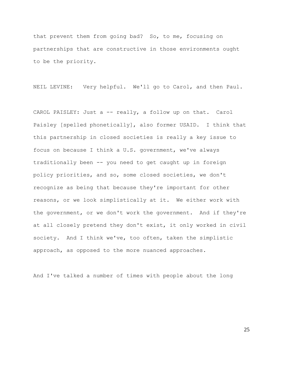that prevent them from going bad? So, to me, focusing on partnerships that are constructive in those environments ought to be the priority.

NEIL LEVINE: Very helpful. We'll go to Carol, and then Paul.

CAROL PAISLEY: Just a -- really, a follow up on that. Carol Paisley [spelled phonetically], also former USAID. I think that this partnership in closed societies is really a key issue to focus on because I think a U.S. government, we've always traditionally been -- you need to get caught up in foreign policy priorities, and so, some closed societies, we don't recognize as being that because they're important for other reasons, or we look simplistically at it. We either work with the government, or we don't work the government. And if they're at all closely pretend they don't exist, it only worked in civil society. And I think we've, too often, taken the simplistic approach, as opposed to the more nuanced approaches.

And I've talked a number of times with people about the long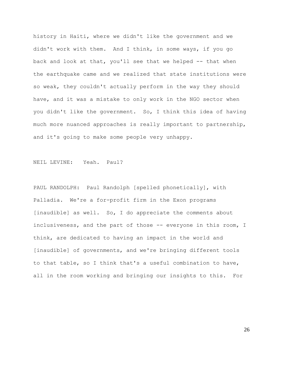history in Haiti, where we didn't like the government and we didn't work with them. And I think, in some ways, if you go back and look at that, you'll see that we helped -- that when the earthquake came and we realized that state institutions were so weak, they couldn't actually perform in the way they should have, and it was a mistake to only work in the NGO sector when you didn't like the government. So, I think this idea of having much more nuanced approaches is really important to partnership, and it's going to make some people very unhappy.

NEIL LEVINE: Yeah. Paul?

PAUL RANDOLPH: Paul Randolph [spelled phonetically], with Palladia. We're a for-profit firm in the Exon programs [inaudible] as well. So, I do appreciate the comments about inclusiveness, and the part of those -- everyone in this room, I think, are dedicated to having an impact in the world and [inaudible] of governments, and we're bringing different tools to that table, so I think that's a useful combination to have, all in the room working and bringing our insights to this. For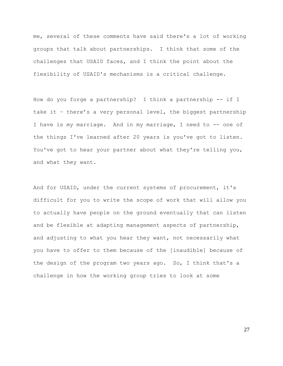me, several of these comments have said there's a lot of working groups that talk about partnerships. I think that some of the challenges that USAID faces, and I think the point about the flexibility of USAID's mechanisms is a critical challenge.

How do you forge a partnership? I think a partnership -- if I take it – there's a very personal level, the biggest partnership I have is my marriage. And in my marriage, I need to -- one of the things I've learned after 20 years is you've got to listen. You've got to hear your partner about what they're telling you, and what they want.

And for USAID, under the current systems of procurement, it's difficult for you to write the scope of work that will allow you to actually have people on the ground eventually that can listen and be flexible at adapting management aspects of partnership, and adjusting to what you hear they want, not necessarily what you have to offer to them because of the [inaudible] because of the design of the program two years ago. So, I think that's a challenge in how the working group tries to look at some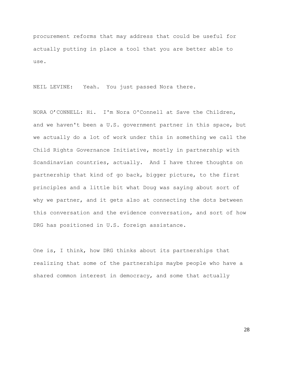procurement reforms that may address that could be useful for actually putting in place a tool that you are better able to use.

NEIL LEVINE: Yeah. You just passed Nora there.

NORA O'CONNELL: Hi. I'm Nora O'Connell at Save the Children, and we haven't been a U.S. government partner in this space, but we actually do a lot of work under this in something we call the Child Rights Governance Initiative, mostly in partnership with Scandinavian countries, actually. And I have three thoughts on partnership that kind of go back, bigger picture, to the first principles and a little bit what Doug was saying about sort of why we partner, and it gets also at connecting the dots between this conversation and the evidence conversation, and sort of how DRG has positioned in U.S. foreign assistance.

One is, I think, how DRG thinks about its partnerships that realizing that some of the partnerships maybe people who have a shared common interest in democracy, and some that actually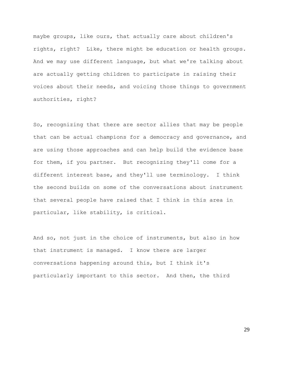maybe groups, like ours, that actually care about children's rights, right? Like, there might be education or health groups. And we may use different language, but what we're talking about are actually getting children to participate in raising their voices about their needs, and voicing those things to government authorities, right?

So, recognizing that there are sector allies that may be people that can be actual champions for a democracy and governance, and are using those approaches and can help build the evidence base for them, if you partner. But recognizing they'll come for a different interest base, and they'll use terminology. I think the second builds on some of the conversations about instrument that several people have raised that I think in this area in particular, like stability, is critical.

And so, not just in the choice of instruments, but also in how that instrument is managed. I know there are larger conversations happening around this, but I think it's particularly important to this sector. And then, the third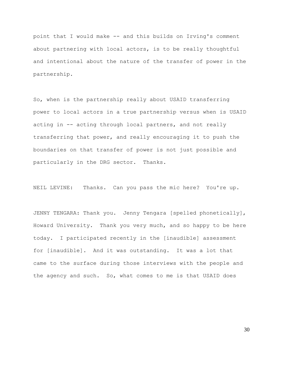point that I would make -- and this builds on Irving's comment about partnering with local actors, is to be really thoughtful and intentional about the nature of the transfer of power in the partnership.

So, when is the partnership really about USAID transferring power to local actors in a true partnership versus when is USAID acting in -- acting through local partners, and not really transferring that power, and really encouraging it to push the boundaries on that transfer of power is not just possible and particularly in the DRG sector. Thanks.

NEIL LEVINE: Thanks. Can you pass the mic here? You're up.

JENNY TENGARA: Thank you. Jenny Tengara [spelled phonetically], Howard University. Thank you very much, and so happy to be here today. I participated recently in the [inaudible] assessment for [inaudible]. And it was outstanding. It was a lot that came to the surface during those interviews with the people and the agency and such. So, what comes to me is that USAID does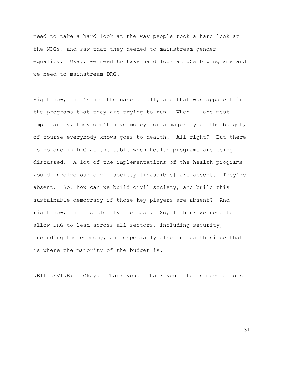need to take a hard look at the way people took a hard look at the NDGs, and saw that they needed to mainstream gender equality. Okay, we need to take hard look at USAID programs and we need to mainstream DRG.

Right now, that's not the case at all, and that was apparent in the programs that they are trying to run. When -- and most importantly, they don't have money for a majority of the budget, of course everybody knows goes to health. All right? But there is no one in DRG at the table when health programs are being discussed. A lot of the implementations of the health programs would involve our civil society [inaudible] are absent. They're absent. So, how can we build civil society, and build this sustainable democracy if those key players are absent? And right now, that is clearly the case. So, I think we need to allow DRG to lead across all sectors, including security, including the economy, and especially also in health since that is where the majority of the budget is.

NEIL LEVINE: Okay. Thank you. Thank you. Let's move across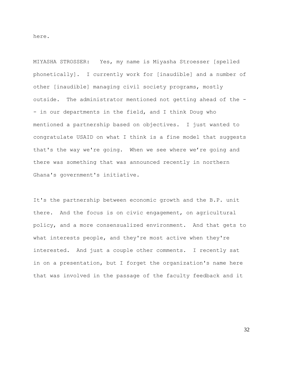here.

MIYASHA STROSSER: Yes, my name is Miyasha Stroesser [spelled phonetically]. I currently work for [inaudible] and a number of other [inaudible] managing civil society programs, mostly outside. The administrator mentioned not getting ahead of the - - in our departments in the field, and I think Doug who mentioned a partnership based on objectives. I just wanted to congratulate USAID on what I think is a fine model that suggests that's the way we're going. When we see where we're going and there was something that was announced recently in northern Ghana's government's initiative.

It's the partnership between economic growth and the B.P. unit there. And the focus is on civic engagement, on agricultural policy, and a more consensualized environment. And that gets to what interests people, and they're most active when they're interested. And just a couple other comments. I recently sat in on a presentation, but I forget the organization's name here that was involved in the passage of the faculty feedback and it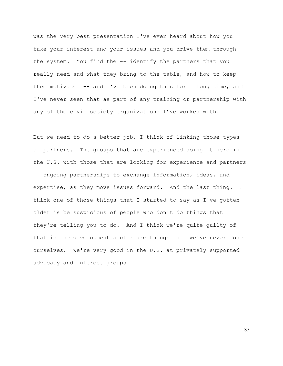was the very best presentation I've ever heard about how you take your interest and your issues and you drive them through the system. You find the -- identify the partners that you really need and what they bring to the table, and how to keep them motivated -- and I've been doing this for a long time, and I've never seen that as part of any training or partnership with any of the civil society organizations I've worked with.

But we need to do a better job, I think of linking those types of partners. The groups that are experienced doing it here in the U.S. with those that are looking for experience and partners -- ongoing partnerships to exchange information, ideas, and expertise, as they move issues forward. And the last thing. I think one of those things that I started to say as I've gotten older is be suspicious of people who don't do things that they're telling you to do. And I think we're quite guilty of that in the development sector are things that we've never done ourselves. We're very good in the U.S. at privately supported advocacy and interest groups.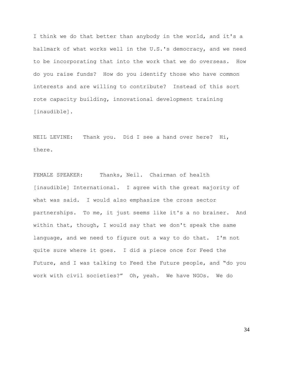I think we do that better than anybody in the world, and it's a hallmark of what works well in the U.S.'s democracy, and we need to be incorporating that into the work that we do overseas. How do you raise funds? How do you identify those who have common interests and are willing to contribute? Instead of this sort rote capacity building, innovational development training [inaudible].

NEIL LEVINE: Thank you. Did I see a hand over here? Hi, there.

FEMALE SPEAKER: Thanks, Neil. Chairman of health [inaudible] International. I agree with the great majority of what was said. I would also emphasize the cross sector partnerships. To me, it just seems like it's a no brainer. And within that, though, I would say that we don't speak the same language, and we need to figure out a way to do that. I'm not quite sure where it goes. I did a piece once for Feed the Future, and I was talking to Feed the Future people, and "do you work with civil societies?" Oh, yeah. We have NGOs. We do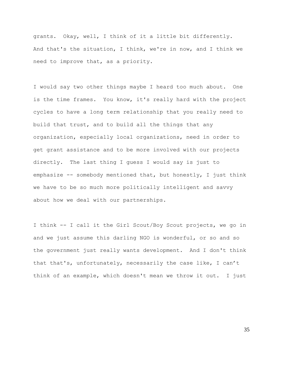grants. Okay, well, I think of it a little bit differently. And that's the situation, I think, we're in now, and I think we need to improve that, as a priority.

I would say two other things maybe I heard too much about. One is the time frames. You know, it's really hard with the project cycles to have a long term relationship that you really need to build that trust, and to build all the things that any organization, especially local organizations, need in order to get grant assistance and to be more involved with our projects directly. The last thing I guess I would say is just to emphasize  $-$ - somebody mentioned that, but honestly, I just think we have to be so much more politically intelligent and savvy about how we deal with our partnerships.

I think -- I call it the Girl Scout/Boy Scout projects, we go in and we just assume this darling NGO is wonderful, or so and so the government just really wants development. And I don't think that that's, unfortunately, necessarily the case like, I can't think of an example, which doesn't mean we throw it out. I just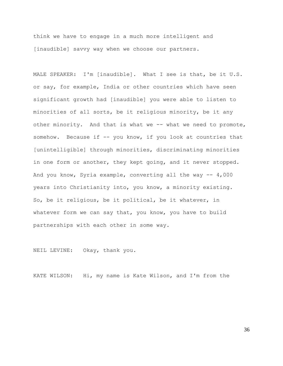think we have to engage in a much more intelligent and [inaudible] savvy way when we choose our partners.

MALE SPEAKER: I'm [inaudible]. What I see is that, be it U.S. or say, for example, India or other countries which have seen significant growth had [inaudible] you were able to listen to minorities of all sorts, be it religious minority, be it any other minority. And that is what we -- what we need to promote, somehow. Because if -- you know, if you look at countries that [unintelligible] through minorities, discriminating minorities in one form or another, they kept going, and it never stopped. And you know, Syria example, converting all the way -- 4,000 years into Christianity into, you know, a minority existing. So, be it religious, be it political, be it whatever, in whatever form we can say that, you know, you have to build partnerships with each other in some way.

NEIL LEVINE: Okay, thank you.

KATE WILSON: Hi, my name is Kate Wilson, and I'm from the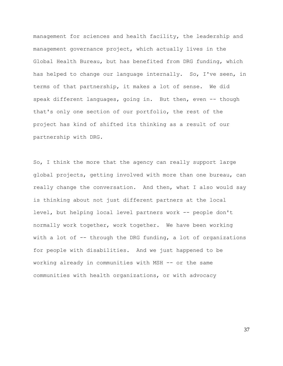management for sciences and health facility, the leadership and management governance project, which actually lives in the Global Health Bureau, but has benefited from DRG funding, which has helped to change our language internally. So, I've seen, in terms of that partnership, it makes a lot of sense. We did speak different languages, going in. But then, even -- though that's only one section of our portfolio, the rest of the project has kind of shifted its thinking as a result of our partnership with DRG.

So, I think the more that the agency can really support large global projects, getting involved with more than one bureau, can really change the conversation. And then, what I also would say is thinking about not just different partners at the local level, but helping local level partners work -- people don't normally work together, work together. We have been working with a lot of -- through the DRG funding, a lot of organizations for people with disabilities. And we just happened to be working already in communities with MSH -- or the same communities with health organizations, or with advocacy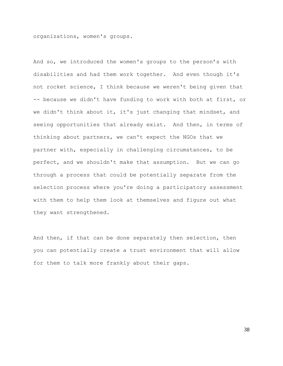organizations, women's groups.

And so, we introduced the women's groups to the person's with disabilities and had them work together. And even though it's not rocket science, I think because we weren't being given that -- because we didn't have funding to work with both at first, or we didn't think about it, it's just changing that mindset, and seeing opportunities that already exist. And then, in terms of thinking about partners, we can't expect the NGOs that we partner with, especially in challenging circumstances, to be perfect, and we shouldn't make that assumption. But we can go through a process that could be potentially separate from the selection process where you're doing a participatory assessment with them to help them look at themselves and figure out what they want strengthened.

And then, if that can be done separately then selection, then you can potentially create a trust environment that will allow for them to talk more frankly about their gaps.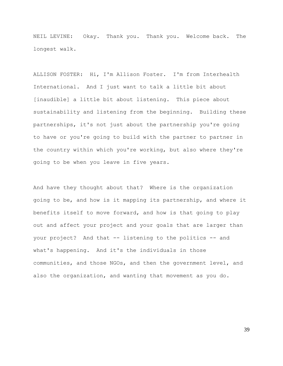NEIL LEVINE: Okay. Thank you. Thank you. Welcome back. The longest walk.

ALLISON FOSTER: Hi, I'm Allison Foster. I'm from Interhealth International. And I just want to talk a little bit about [inaudible] a little bit about listening. This piece about sustainability and listening from the beginning. Building these partnerships, it's not just about the partnership you're going to have or you're going to build with the partner to partner in the country within which you're working, but also where they're going to be when you leave in five years.

And have they thought about that? Where is the organization going to be, and how is it mapping its partnership, and where it benefits itself to move forward, and how is that going to play out and affect your project and your goals that are larger than your project? And that -- listening to the politics -- and what's happening. And it's the individuals in those communities, and those NGOs, and then the government level, and also the organization, and wanting that movement as you do.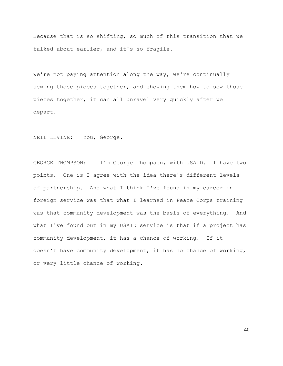Because that is so shifting, so much of this transition that we talked about earlier, and it's so fragile.

We're not paying attention along the way, we're continually sewing those pieces together, and showing them how to sew those pieces together, it can all unravel very quickly after we depart.

NEIL LEVINE: You, George.

GEORGE THOMPSON: I'm George Thompson, with USAID. I have two points. One is I agree with the idea there's different levels of partnership. And what I think I've found in my career in foreign service was that what I learned in Peace Corps training was that community development was the basis of everything. And what I've found out in my USAID service is that if a project has community development, it has a chance of working. If it doesn't have community development, it has no chance of working, or very little chance of working.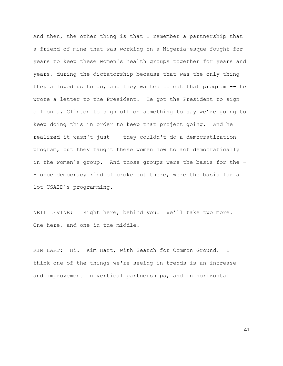And then, the other thing is that I remember a partnership that a friend of mine that was working on a Nigeria-esque fought for years to keep these women's health groups together for years and years, during the dictatorship because that was the only thing they allowed us to do, and they wanted to cut that program -- he wrote a letter to the President. He got the President to sign off on a, Clinton to sign off on something to say we're going to keep doing this in order to keep that project going. And he realized it wasn't just -- they couldn't do a democratization program, but they taught these women how to act democratically in the women's group. And those groups were the basis for the - - once democracy kind of broke out there, were the basis for a lot USAID's programming.

NEIL LEVINE: Right here, behind you. We'll take two more. One here, and one in the middle.

KIM HART: Hi. Kim Hart, with Search for Common Ground. I think one of the things we're seeing in trends is an increase and improvement in vertical partnerships, and in horizontal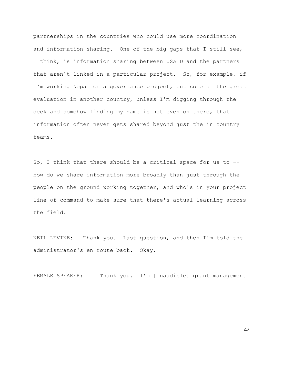partnerships in the countries who could use more coordination and information sharing. One of the big gaps that I still see, I think, is information sharing between USAID and the partners that aren't linked in a particular project. So, for example, if I'm working Nepal on a governance project, but some of the great evaluation in another country, unless I'm digging through the deck and somehow finding my name is not even on there, that information often never gets shared beyond just the in country teams.

So, I think that there should be a critical space for us to - how do we share information more broadly than just through the people on the ground working together, and who's in your project line of command to make sure that there's actual learning across the field.

NEIL LEVINE: Thank you. Last question, and then I'm told the administrator's en route back. Okay.

FEMALE SPEAKER: Thank you. I'm [inaudible] grant management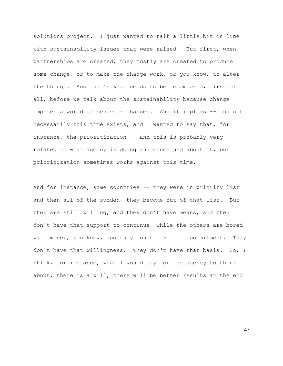solutions project. I just wanted to talk a little bit in line with sustainability issues that were raised. But first, when partnerships are created, they mostly are created to produce some change, or to make the change work, or you know, to alter the things. And that's what needs to be remembered, first of all, before we talk about the sustainability because change implies a world of behavior changes. And it implies -- and not necessarily this time exists, and I wanted to say that, for instance, the prioritization -- and this is probably very related to what agency is doing and concerned about it, but prioritization sometimes works against this time.

And for instance, some countries -- they were in priority list and then all of the sudden, they become out of that list. But they are still willing, and they don't have means, and they don't have that support to continue, while the others are bored with money, you know, and they don't have that commitment. They don't have that willingness. They don't have that basis. So, I think, for instance, what I would say for the agency to think about, there is a will, there will be better results at the end